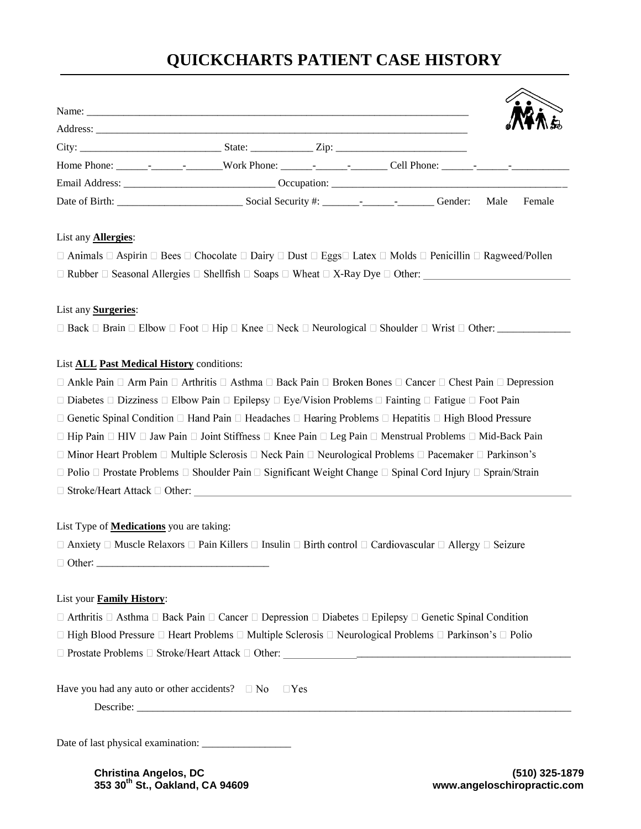# **QUICKCHARTS PATIENT CASE HISTORY**

|  |  |      | <b>ATHA E</b> |
|--|--|------|---------------|
|  |  |      |               |
|  |  |      |               |
|  |  |      |               |
|  |  |      |               |
|  |  | Male | Female        |

## List any **Allergies**:

| $\Box$ Animals $\Box$ Aspirin $\Box$ Bees $\Box$ Chocolate $\Box$ Dairy $\Box$ Dust $\Box$ Eggs $\Box$ Latex $\Box$ Molds $\Box$ Penicillin $\Box$ Ragweed/Pollen |  |
|-------------------------------------------------------------------------------------------------------------------------------------------------------------------|--|
| $\Box$ Rubber $\Box$ Seasonal Allergies $\Box$ Shellfish $\Box$ Soaps $\Box$ Wheat $\Box$ X-Ray Dye $\Box$ Other:                                                 |  |

# List any **Surgeries**:

 $\square$  Back  $\square$  Brain  $\square$  Elbow  $\square$  Foot  $\square$  Hip  $\square$  Knee  $\square$  Neck  $\square$  Neurological  $\square$  Shoulder  $\square$  Wrist  $\square$  Other:

# List **ALL Past Medical History** conditions:

 $\Box$  Ankle Pain  $\Box$  Arm Pain  $\Box$  Arthritis  $\Box$  Asthma  $\Box$  Back Pain  $\Box$  Broken Bones  $\Box$  Cancer  $\Box$  Chest Pain  $\Box$  Depression

 $\Box$  Diabetes  $\Box$  Dizziness  $\Box$  Elbow Pain  $\Box$  Epilepsy  $\Box$  Eye/Vision Problems  $\Box$  Fainting  $\Box$  Fatigue  $\Box$  Foot Pain

 $\Box$  Genetic Spinal Condition  $\Box$  Hand Pain  $\Box$  Headaches  $\Box$  Hearing Problems  $\Box$  Hepatitis  $\Box$  High Blood Pressure

 $\Box$  Hip Pain  $\Box$  HIV  $\Box$  Jaw Pain  $\Box$  Joint Stiffness  $\Box$  Knee Pain  $\Box$  Leg Pain  $\Box$  Menstrual Problems  $\Box$  Mid-Back Pain

 $\Box$  Minor Heart Problem  $\Box$  Multiple Sclerosis  $\Box$  Neck Pain  $\Box$  Neurological Problems  $\Box$  Pacemaker  $\Box$  Parkinson's

 $\Box$  Polio  $\Box$  Prostate Problems  $\Box$  Shoulder Pain  $\Box$  Significant Weight Change  $\Box$  Spinal Cord Injury  $\Box$  Sprain/Strain

 $\Box$  Stroke/Heart Attack  $\Box$  Other:

## List Type of **Medications** you are taking:

 $\Box$  Anxiety  $\Box$  Muscle Relaxors  $\Box$  Pain Killers  $\Box$  Insulin  $\Box$  Birth control  $\Box$  Cardiovascular  $\Box$  Allergy  $\Box$  Seizure : \_\_\_\_\_\_\_\_\_\_\_\_\_\_\_\_\_\_\_\_\_\_\_\_\_\_\_\_\_\_\_\_\_

## List your **Family History**:

 $\Box$  Arthritis  $\Box$  Asthma  $\Box$  Back Pain  $\Box$  Cancer  $\Box$  Depression  $\Box$  Diabetes  $\Box$  Epilepsy  $\Box$  Genetic Spinal Condition

□ High Blood Pressure □ Heart Problems □ Multiple Sclerosis □ Neurological Problems □ Parkinson's □ Polio

 $\Box$  Prostate Problems  $\Box$  Stroke/Heart Attack  $\Box$  Other:

| Have you had any auto or other accidents? $\square$ No $\square$ Yes |  |  |
|----------------------------------------------------------------------|--|--|
|----------------------------------------------------------------------|--|--|

Describe:

Date of last physical examination: \_\_\_\_\_\_\_\_\_\_\_\_\_\_\_\_\_

**Christina Angelos, DC (510) 325-1879 353 30th St., Oakland, CA 94609 www.angeloschiropractic.com**

\_\_\_\_\_\_\_\_\_\_\_\_\_\_\_\_\_\_\_\_\_\_\_\_\_\_\_\_\_\_\_\_\_\_\_\_\_\_\_\_\_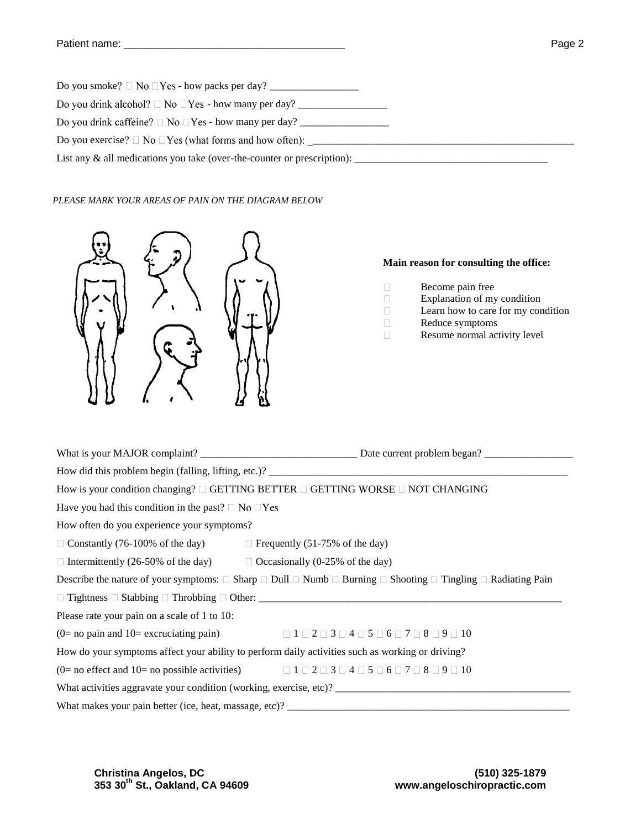| List any $\&$ all medications you take (over-the-counter or prescription): |
|----------------------------------------------------------------------------|

#### *PLEASE MARK YOUR AREAS OF PAIN ON THE DIAGRAM BELOW*



#### **Main reason for consulting the office:**

- $\Box$ Become pain free
- $\Box$ Explanation of my condition  $\Box$ 
	- Learn how to care for my condition
- $\Box$ Reduce symptoms

 $\Box$ 

Resume normal activity level

| How is your condition changing? $\Box$ GETTING BETTER $\Box$ GETTING WORSE $\Box$ NOT CHANGING                                                  |                                                                                                                        |  |  |
|-------------------------------------------------------------------------------------------------------------------------------------------------|------------------------------------------------------------------------------------------------------------------------|--|--|
| Have you had this condition in the past? $\Box$ No $\Box$ Yes                                                                                   |                                                                                                                        |  |  |
| How often do you experience your symptoms?                                                                                                      |                                                                                                                        |  |  |
| $\Box$ Constantly (76-100% of the day) $\Box$ Frequently (51-75% of the day)                                                                    |                                                                                                                        |  |  |
| $\Box$ Intermittently (26-50% of the day) $\Box$ Occasionally (0-25% of the day)                                                                |                                                                                                                        |  |  |
| Describe the nature of your symptoms: $\Box$ Sharp $\Box$ Dull $\Box$ Numb $\Box$ Burning $\Box$ Shooting $\Box$ Tingling $\Box$ Radiating Pain |                                                                                                                        |  |  |
|                                                                                                                                                 |                                                                                                                        |  |  |
| Please rate your pain on a scale of 1 to 10:                                                                                                    |                                                                                                                        |  |  |
|                                                                                                                                                 | (0= no pain and 10= excruciating pain) $\Box$ $1 \Box 2 \Box 3 \Box 4 \Box 5 \Box 6 \Box 7 \Box 8 \Box 9 \Box 10$      |  |  |
| How do your symptoms affect your ability to perform daily activities such as working or driving?                                                |                                                                                                                        |  |  |
|                                                                                                                                                 | (0= no effect and 10= no possible activities) $\Box 1 \Box 2 \Box 3 \Box 4 \Box 5 \Box 6 \Box 7 \Box 8 \Box 9 \Box 10$ |  |  |
|                                                                                                                                                 | What activities aggravate your condition (working, exercise, etc)?                                                     |  |  |
|                                                                                                                                                 |                                                                                                                        |  |  |